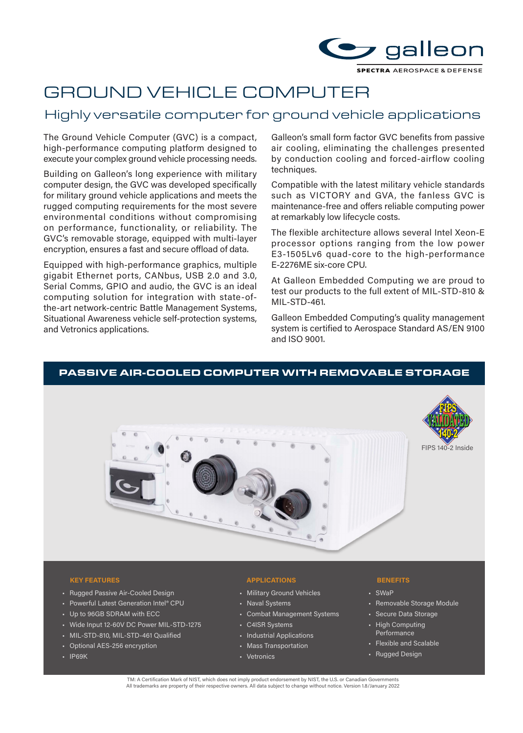

# GROUND VEHICLE COMPUTER

# Highly versatile computer for ground vehicle applications

The Ground Vehicle Computer (GVC) is a compact, high-performance computing platform designed to execute your complex ground vehicle processing needs.

Building on Galleon's long experience with military computer design, the GVC was developed specifically for military ground vehicle applications and meets the rugged computing requirements for the most severe environmental conditions without compromising on performance, functionality, or reliability. The GVC's removable storage, equipped with multi-layer encryption, ensures a fast and secure offload of data.

Equipped with high-performance graphics, multiple gigabit Ethernet ports, CANbus, USB 2.0 and 3.0, Serial Comms, GPIO and audio, the GVC is an ideal computing solution for integration with state-ofthe-art network-centric Battle Management Systems, Situational Awareness vehicle self-protection systems, and Vetronics applications.

Galleon's small form factor GVC benefits from passive air cooling, eliminating the challenges presented by conduction cooling and forced-airflow cooling techniques.

Compatible with the latest military vehicle standards such as VICTORY and GVA, the fanless GVC is maintenance-free and offers reliable computing power at remarkably low lifecycle costs.

The flexible architecture allows several Intel Xeon-E processor options ranging from the low power E3-1505Lv6 quad-core to the high-performance E-2276ME six-core CPU.

At Galleon Embedded Computing we are proud to test our products to the full extent of MIL-STD-810 & MIL-STD-461.

Galleon Embedded Computing's quality management system is certified to Aerospace Standard AS/EN 9100 and ISO 9001.

# PASSIVE AIR-COOLED COMPUTER WITH REMOVABLE STORAGE





- Rugged Passive Air-Cooled Design
- Powerful Latest Generation Intel® CPU
- Up to 96GB SDRAM with ECC
- Wide Input 12-60V DC Power MIL-STD-1275
- MIL-STD-810, MIL-STD-461 Qualified
- Optional AES-256 encryption
- IP69K

## **KEY FEATURES BENEFITS**

- Military Ground Vehicles
- Naval Systems
- Combat Management Systems
- C4ISR Systems
- Industrial Applications
- Mass Transportation
- Vetronics

- SWaP
- Removable Storage Module
- Secure Data Storage
- High Computing Performance
- Flexible and Scalable
- Rugged Design

TM: A Certification Mark of NIST, which does not imply product endorsement by NIST, the U.S. or Canadian Governments<br>All trademarks are property of their respective owners. All data subject to change without notice. Versio